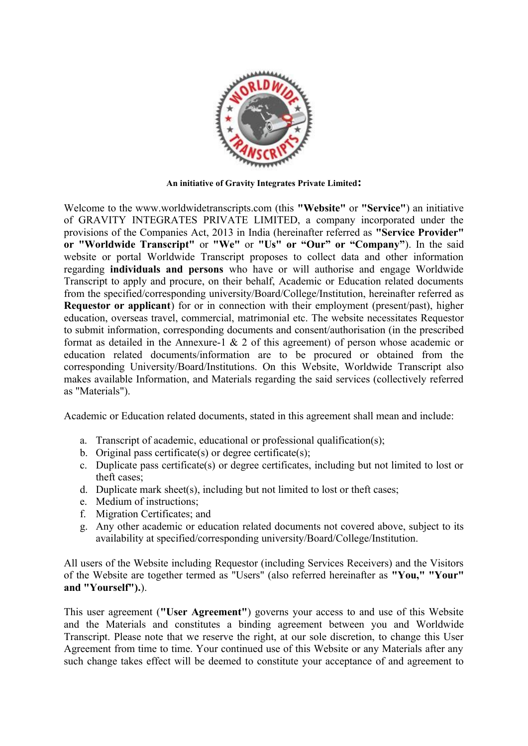

**An initiative of Gravity Integrates Private Limited:**

Welcome to the www.worldwidetranscripts.com (this **"Website"** or **"Service"**) an initiative of GRAVITY INTEGRATES PRIVATE LIMITED, a company incorporated under the provisions of the Companies Act, 2013 in India (hereinafter referred as **"Service Provider" or "Worldwide Transcript"** or **"We"** or **"Us" or "Our" or "Company"**). In the said website or portal Worldwide Transcript proposes to collect data and other information regarding **individuals and persons** who have or will authorise and engage Worldwide Transcript to apply and procure, on their behalf, Academic or Education related documents from the specified/corresponding university/Board/College/Institution, hereinafter referred as **Requestor or applicant**) for or in connection with their employment (present/past), higher education, overseas travel, commercial, matrimonial etc. The website necessitates Requestor to submit information, corresponding documents and consent/authorisation (in the prescribed format as detailed in the Annexure-1 & 2 of this agreement) of person whose academic or education related documents/information are to be procured or obtained from the corresponding University/Board/Institutions. On this Website, Worldwide Transcript also makes available Information, and Materials regarding the said services (collectively referred as "Materials").

Academic or Education related documents, stated in this agreement shall mean and include:

- a. Transcript of academic, educational or professional qualification(s);
- b. Original pass certificate(s) or degree certificate(s);
- c. Duplicate pass certificate(s) or degree certificates, including but not limited to lost or theft cases;
- d. Duplicate mark sheet(s), including but not limited to lost or theft cases;
- e. Medium of instructions;
- f. Migration Certificates; and
- g. Any other academic or education related documents not covered above, subject to its availability at specified/corresponding university/Board/College/Institution.

All users of the Website including Requestor (including Services Receivers) and the Visitors of the Website are together termed as "Users" (also referred hereinafter as **"You," "Your" and "Yourself").**).

This user agreement (**"User Agreement"**) governs your access to and use of this Website and the Materials and constitutes a binding agreement between you and Worldwide Transcript. Please note that we reserve the right, at our sole discretion, to change this User Agreement from time to time. Your continued use of this Website or any Materials after any such change takes effect will be deemed to constitute your acceptance of and agreement to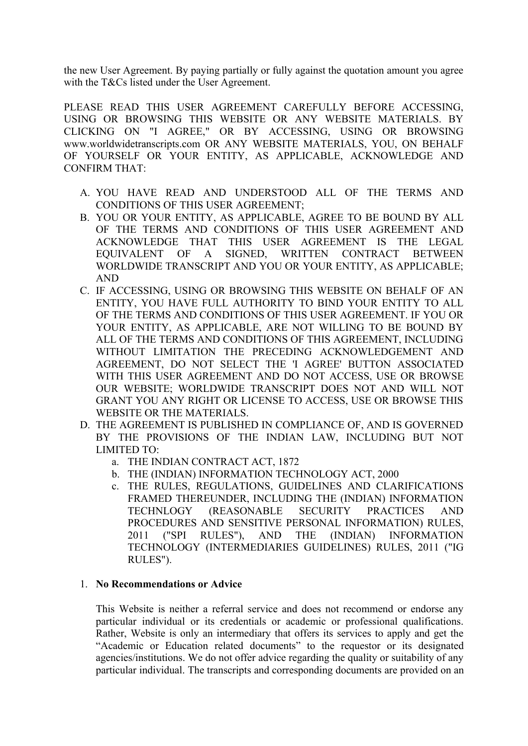the new User Agreement. By paying partially or fully against the quotation amount you agree with the T&Cs listed under the User Agreement.

PLEASE READ THIS USER AGREEMENT CAREFULLY BEFORE ACCESSING, USING OR BROWSING THIS WEBSITE OR ANY WEBSITE MATERIALS. BY CLICKING ON "I AGREE," OR BY ACCESSING, USING OR BROWSING www.worldwidetranscripts.com OR ANY WEBSITE MATERIALS, YOU, ON BEHALF OF YOURSELF OR YOUR ENTITY, AS APPLICABLE, ACKNOWLEDGE AND CONFIRM THAT:

- A. YOU HAVE READ AND UNDERSTOOD ALL OF THE TERMS AND CONDITIONS OF THIS USER AGREEMENT;
- B. YOU OR YOUR ENTITY, AS APPLICABLE, AGREE TO BE BOUND BY ALL OF THE TERMS AND CONDITIONS OF THIS USER AGREEMENT AND ACKNOWLEDGE THAT THIS USER AGREEMENT IS THE LEGAL EQUIVALENT OF A SIGNED, WRITTEN CONTRACT BETWEEN WORLDWIDE TRANSCRIPT AND YOU OR YOUR ENTITY, AS APPLICABLE; AND
- C. IF ACCESSING, USING OR BROWSING THIS WEBSITE ON BEHALF OF AN ENTITY, YOU HAVE FULL AUTHORITY TO BIND YOUR ENTITY TO ALL OF THE TERMS AND CONDITIONS OF THIS USER AGREEMENT. IF YOU OR YOUR ENTITY, AS APPLICABLE, ARE NOT WILLING TO BE BOUND BY ALL OF THE TERMS AND CONDITIONS OF THIS AGREEMENT, INCLUDING WITHOUT LIMITATION THE PRECEDING ACKNOWLEDGEMENT AND AGREEMENT, DO NOT SELECT THE 'I AGREE' BUTTON ASSOCIATED WITH THIS USER AGREEMENT AND DO NOT ACCESS, USE OR BROWSE OUR WEBSITE; WORLDWIDE TRANSCRIPT DOES NOT AND WILL NOT GRANT YOU ANY RIGHT OR LICENSE TO ACCESS, USE OR BROWSE THIS WEBSITE OR THE MATERIALS.
- D. THE AGREEMENT IS PUBLISHED IN COMPLIANCE OF, AND IS GOVERNED BY THE PROVISIONS OF THE INDIAN LAW, INCLUDING BUT NOT LIMITED TO:
	- a. THE INDIAN CONTRACT ACT, 1872
	- b. THE (INDIAN) INFORMATION TECHNOLOGY ACT, 2000
	- c. THE RULES, REGULATIONS, GUIDELINES AND CLARIFICATIONS FRAMED THEREUNDER, INCLUDING THE (INDIAN) INFORMATION TECHNLOGY (REASONABLE SECURITY PRACTICES AND PROCEDURES AND SENSITIVE PERSONAL INFORMATION) RULES, 2011 ("SPI RULES"), AND THE (INDIAN) INFORMATION TECHNOLOGY (INTERMEDIARIES GUIDELINES) RULES, 2011 ("IG RULES").

### 1. **No Recommendations or Advice**

This Website is neither a referral service and does not recommend or endorse any particular individual or its credentials or academic or professional qualifications. Rather, Website is only an intermediary that offers its services to apply and get the "Academic or Education related documents" to the requestor or its designated agencies/institutions. We do not offer advice regarding the quality or suitability of any particular individual. The transcripts and corresponding documents are provided on an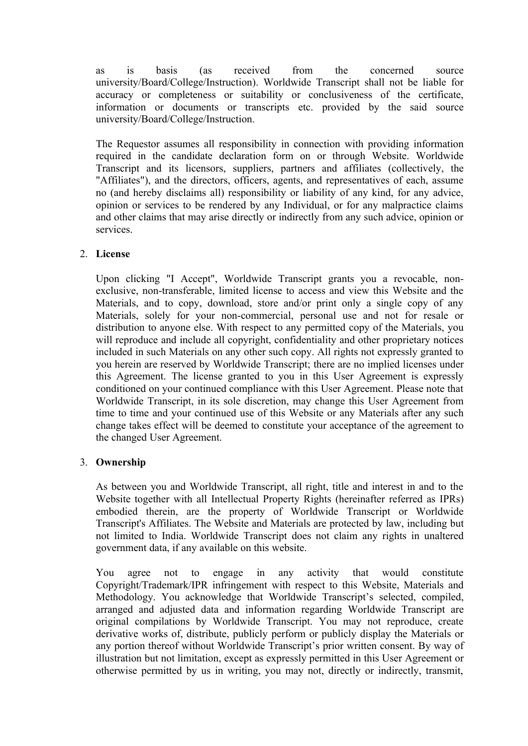as is basis (as received from the concerned source university/Board/College/Instruction). Worldwide Transcript shall not be liable for accuracy or completeness or suitability or conclusiveness of the certificate, information or documents or transcripts etc. provided by the said source university/Board/College/Instruction.

The Requestor assumes all responsibility in connection with providing information required in the candidate declaration form on or through Website. Worldwide Transcript and its licensors, suppliers, partners and affiliates (collectively, the "Affiliates"), and the directors, officers, agents, and representatives of each, assume no (and hereby disclaims all) responsibility or liability of any kind, for any advice, opinion or services to be rendered by any Individual, or for any malpractice claims and other claims that may arise directly or indirectly from any such advice, opinion or services.

# 2. **License**

Upon clicking "I Accept", Worldwide Transcript grants you a revocable, nonexclusive, non-transferable, limited license to access and view this Website and the Materials, and to copy, download, store and/or print only a single copy of any Materials, solely for your non-commercial, personal use and not for resale or distribution to anyone else. With respect to any permitted copy of the Materials, you will reproduce and include all copyright, confidentiality and other proprietary notices included in such Materials on any other such copy. All rights not expressly granted to you herein are reserved by Worldwide Transcript; there are no implied licenses under this Agreement. The license granted to you in this User Agreement is expressly conditioned on your continued compliance with this User Agreement. Please note that Worldwide Transcript, in its sole discretion, may change this User Agreement from time to time and your continued use of this Website or any Materials after any such change takes effect will be deemed to constitute your acceptance of the agreement to the changed User Agreement.

### 3. **Ownership**

As between you and Worldwide Transcript, all right, title and interest in and to the Website together with all Intellectual Property Rights (hereinafter referred as IPRs) embodied therein, are the property of Worldwide Transcript or Worldwide Transcript's Affiliates. The Website and Materials are protected by law, including but not limited to India. Worldwide Transcript does not claim any rights in unaltered government data, if any available on this website.

You agree not to engage in any activity that would constitute Copyright/Trademark/IPR infringement with respect to this Website, Materials and Methodology. You acknowledge that Worldwide Transcript's selected, compiled, arranged and adjusted data and information regarding Worldwide Transcript are original compilations by Worldwide Transcript. You may not reproduce, create derivative works of, distribute, publicly perform or publicly display the Materials or any portion thereof without Worldwide Transcript's prior written consent. By way of illustration but not limitation, except as expressly permitted in this User Agreement or otherwise permitted by us in writing, you may not, directly or indirectly, transmit,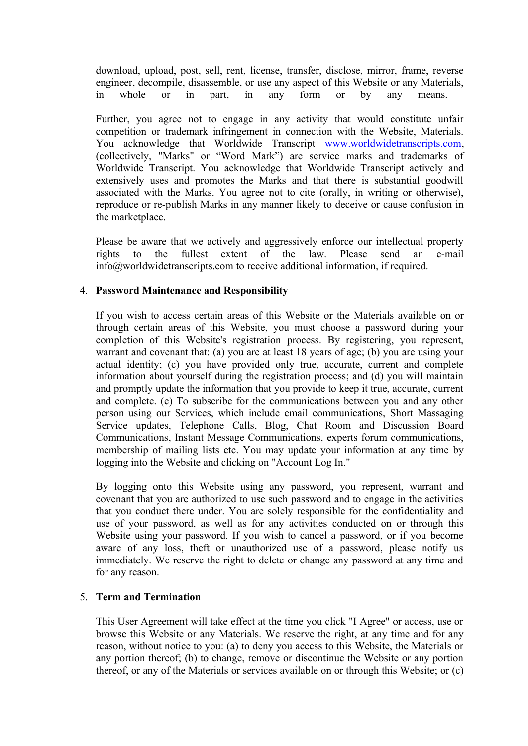download, upload, post, sell, rent, license, transfer, disclose, mirror, frame, reverse engineer, decompile, disassemble, or use any aspect of this Website or any Materials, in whole or in part, in any form or by any means.

Further, you agree not to engage in any activity that would constitute unfair competition or trademark infringement in connection with the Website, Materials. You acknowledge that Worldwide Transcript www.worldwidetranscripts.com, (collectively, "Marks" or "Word Mark") are service marks and trademarks of Worldwide Transcript. You acknowledge that Worldwide Transcript actively and extensively uses and promotes the Marks and that there is substantial goodwill associated with the Marks. You agree not to cite (orally, in writing or otherwise), reproduce or re-publish Marks in any manner likely to deceive or cause confusion in the marketplace.

Please be aware that we actively and aggressively enforce our intellectual property rights to the fullest extent of the law. Please send an e-mail info@worldwidetranscripts.com to receive additional information, if required.

# 4. **Password Maintenance and Responsibility**

If you wish to access certain areas of this Website or the Materials available on or through certain areas of this Website, you must choose a password during your completion of this Website's registration process. By registering, you represent, warrant and covenant that: (a) you are at least 18 years of age; (b) you are using your actual identity; (c) you have provided only true, accurate, current and complete information about yourself during the registration process; and (d) you will maintain and promptly update the information that you provide to keep it true, accurate, current and complete. (e) To subscribe for the communications between you and any other person using our Services, which include email communications, Short Massaging Service updates, Telephone Calls, Blog, Chat Room and Discussion Board Communications, Instant Message Communications, experts forum communications, membership of mailing lists etc. You may update your information at any time by logging into the Website and clicking on "Account Log In."

By logging onto this Website using any password, you represent, warrant and covenant that you are authorized to use such password and to engage in the activities that you conduct there under. You are solely responsible for the confidentiality and use of your password, as well as for any activities conducted on or through this Website using your password. If you wish to cancel a password, or if you become aware of any loss, theft or unauthorized use of a password, please notify us immediately. We reserve the right to delete or change any password at any time and for any reason.

### 5. **Term and Termination**

This User Agreement will take effect at the time you click "I Agree" or access, use or browse this Website or any Materials. We reserve the right, at any time and for any reason, without notice to you: (a) to deny you access to this Website, the Materials or any portion thereof; (b) to change, remove or discontinue the Website or any portion thereof, or any of the Materials or services available on or through this Website; or (c)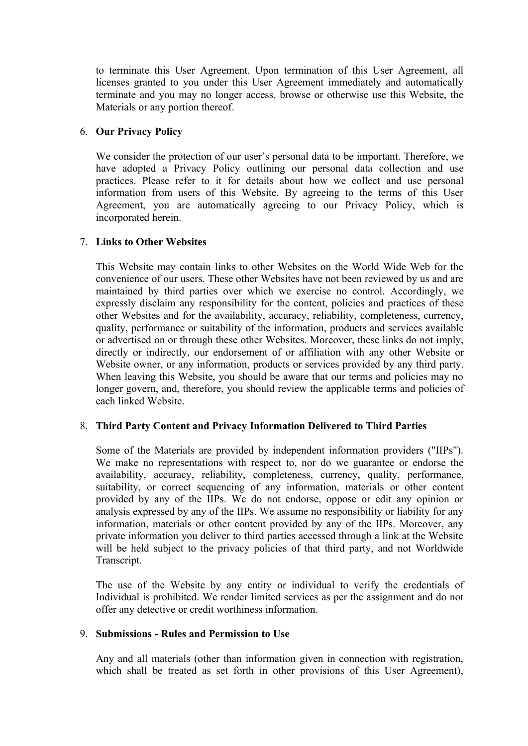to terminate this User Agreement. Upon termination of this User Agreement, all licenses granted to you under this User Agreement immediately and automatically terminate and you may no longer access, browse or otherwise use this Website, the Materials or any portion thereof.

# 6. **Our Privacy Policy**

We consider the protection of our user's personal data to be important. Therefore, we have adopted a Privacy Policy outlining our personal data collection and use practices. Please refer to it for details about how we collect and use personal information from users of this Website. By agreeing to the terms of this User Agreement, you are automatically agreeing to our Privacy Policy, which is incorporated herein.

# 7. **Links to Other Websites**

This Website may contain links to other Websites on the World Wide Web for the convenience of our users. These other Websites have not been reviewed by us and are maintained by third parties over which we exercise no control. Accordingly, we expressly disclaim any responsibility for the content, policies and practices of these other Websites and for the availability, accuracy, reliability, completeness, currency, quality, performance or suitability of the information, products and services available or advertised on or through these other Websites. Moreover, these links do not imply, directly or indirectly, our endorsement of or affiliation with any other Website or Website owner, or any information, products or services provided by any third party. When leaving this Website, you should be aware that our terms and policies may no longer govern, and, therefore, you should review the applicable terms and policies of each linked Website.

# 8. **Third Party Content and Privacy Information Delivered to Third Parties**

Some of the Materials are provided by independent information providers ("IIPs"). We make no representations with respect to, nor do we guarantee or endorse the availability, accuracy, reliability, completeness, currency, quality, performance, suitability, or correct sequencing of any information, materials or other content provided by any of the IIPs. We do not endorse, oppose or edit any opinion or analysis expressed by any of the IIPs. We assume no responsibility or liability for any information, materials or other content provided by any of the IIPs. Moreover, any private information you deliver to third parties accessed through a link at the Website will be held subject to the privacy policies of that third party, and not Worldwide Transcript.

The use of the Website by any entity or individual to verify the credentials of Individual is prohibited. We render limited services as per the assignment and do not offer any detective or credit worthiness information.

# 9. **Submissions - Rules and Permission to Use**

Any and all materials (other than information given in connection with registration, which shall be treated as set forth in other provisions of this User Agreement),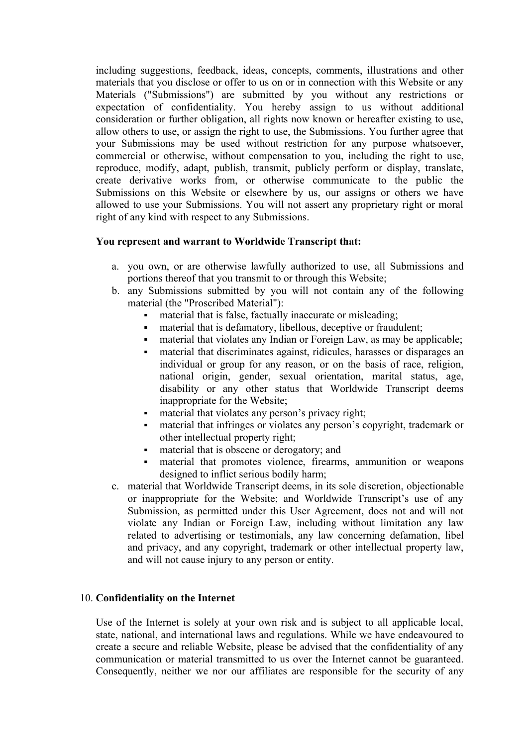including suggestions, feedback, ideas, concepts, comments, illustrations and other materials that you disclose or offer to us on or in connection with this Website or any Materials ("Submissions") are submitted by you without any restrictions or expectation of confidentiality. You hereby assign to us without additional consideration or further obligation, all rights now known or hereafter existing to use, allow others to use, or assign the right to use, the Submissions. You further agree that your Submissions may be used without restriction for any purpose whatsoever, commercial or otherwise, without compensation to you, including the right to use, reproduce, modify, adapt, publish, transmit, publicly perform or display, translate, create derivative works from, or otherwise communicate to the public the Submissions on this Website or elsewhere by us, our assigns or others we have allowed to use your Submissions. You will not assert any proprietary right or moral right of any kind with respect to any Submissions.

# **You represent and warrant to Worldwide Transcript that:**

- a. you own, or are otherwise lawfully authorized to use, all Submissions and portions thereof that you transmit to or through this Website;
- b. any Submissions submitted by you will not contain any of the following material (the "Proscribed Material"):
	- material that is false, factually inaccurate or misleading;
	- material that is defamatory, libellous, deceptive or fraudulent;
	- material that violates any Indian or Foreign Law, as may be applicable;
	- material that discriminates against, ridicules, harasses or disparages an individual or group for any reason, or on the basis of race, religion, national origin, gender, sexual orientation, marital status, age, disability or any other status that Worldwide Transcript deems inappropriate for the Website;
	- material that violates any person's privacy right;
	- material that infringes or violates any person's copyright, trademark or other intellectual property right;
	- material that is obscene or derogatory; and
	- material that promotes violence, firearms, ammunition or weapons designed to inflict serious bodily harm;
- c. material that Worldwide Transcript deems, in its sole discretion, objectionable or inappropriate for the Website; and Worldwide Transcript's use of any Submission, as permitted under this User Agreement, does not and will not violate any Indian or Foreign Law, including without limitation any law related to advertising or testimonials, any law concerning defamation, libel and privacy, and any copyright, trademark or other intellectual property law, and will not cause injury to any person or entity.

# 10. **Confidentiality on the Internet**

Use of the Internet is solely at your own risk and is subject to all applicable local, state, national, and international laws and regulations. While we have endeavoured to create a secure and reliable Website, please be advised that the confidentiality of any communication or material transmitted to us over the Internet cannot be guaranteed. Consequently, neither we nor our affiliates are responsible for the security of any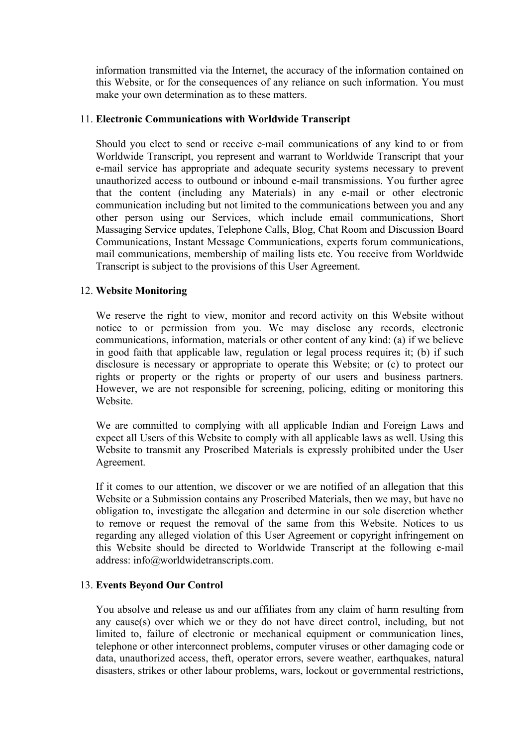information transmitted via the Internet, the accuracy of the information contained on this Website, or for the consequences of any reliance on such information. You must make your own determination as to these matters.

# 11. **Electronic Communications with Worldwide Transcript**

Should you elect to send or receive e-mail communications of any kind to or from Worldwide Transcript, you represent and warrant to Worldwide Transcript that your e-mail service has appropriate and adequate security systems necessary to prevent unauthorized access to outbound or inbound e-mail transmissions. You further agree that the content (including any Materials) in any e-mail or other electronic communication including but not limited to the communications between you and any other person using our Services, which include email communications, Short Massaging Service updates, Telephone Calls, Blog, Chat Room and Discussion Board Communications, Instant Message Communications, experts forum communications, mail communications, membership of mailing lists etc. You receive from Worldwide Transcript is subject to the provisions of this User Agreement.

# 12. **Website Monitoring**

We reserve the right to view, monitor and record activity on this Website without notice to or permission from you. We may disclose any records, electronic communications, information, materials or other content of any kind: (a) if we believe in good faith that applicable law, regulation or legal process requires it; (b) if such disclosure is necessary or appropriate to operate this Website; or (c) to protect our rights or property or the rights or property of our users and business partners. However, we are not responsible for screening, policing, editing or monitoring this Website.

We are committed to complying with all applicable Indian and Foreign Laws and expect all Users of this Website to comply with all applicable laws as well. Using this Website to transmit any Proscribed Materials is expressly prohibited under the User Agreement.

If it comes to our attention, we discover or we are notified of an allegation that this Website or a Submission contains any Proscribed Materials, then we may, but have no obligation to, investigate the allegation and determine in our sole discretion whether to remove or request the removal of the same from this Website. Notices to us regarding any alleged violation of this User Agreement or copyright infringement on this Website should be directed to Worldwide Transcript at the following e-mail address: info@worldwidetranscripts.com.

# 13. **Events Beyond Our Control**

You absolve and release us and our affiliates from any claim of harm resulting from any cause(s) over which we or they do not have direct control, including, but not limited to, failure of electronic or mechanical equipment or communication lines, telephone or other interconnect problems, computer viruses or other damaging code or data, unauthorized access, theft, operator errors, severe weather, earthquakes, natural disasters, strikes or other labour problems, wars, lockout or governmental restrictions,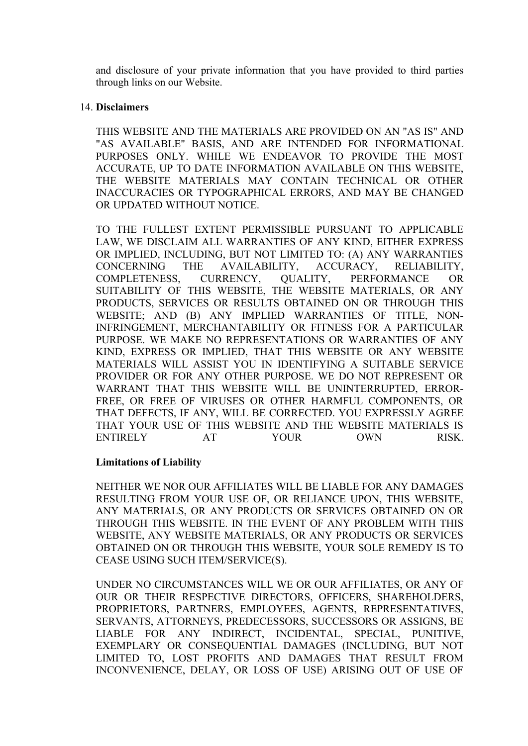and disclosure of your private information that you have provided to third parties through links on our Website.

### 14. **Disclaimers**

THIS WEBSITE AND THE MATERIALS ARE PROVIDED ON AN "AS IS" AND "AS AVAILABLE" BASIS, AND ARE INTENDED FOR INFORMATIONAL PURPOSES ONLY. WHILE WE ENDEAVOR TO PROVIDE THE MOST ACCURATE, UP TO DATE INFORMATION AVAILABLE ON THIS WEBSITE, THE WEBSITE MATERIALS MAY CONTAIN TECHNICAL OR OTHER INACCURACIES OR TYPOGRAPHICAL ERRORS, AND MAY BE CHANGED OR UPDATED WITHOUT NOTICE.

TO THE FULLEST EXTENT PERMISSIBLE PURSUANT TO APPLICABLE LAW, WE DISCLAIM ALL WARRANTIES OF ANY KIND, EITHER EXPRESS OR IMPLIED, INCLUDING, BUT NOT LIMITED TO: (A) ANY WARRANTIES CONCERNING THE AVAILABILITY, ACCURACY, RELIABILITY, COMPLETENESS, CURRENCY, QUALITY, PERFORMANCE OR SUITABILITY OF THIS WEBSITE, THE WEBSITE MATERIALS, OR ANY PRODUCTS, SERVICES OR RESULTS OBTAINED ON OR THROUGH THIS WEBSITE; AND (B) ANY IMPLIED WARRANTIES OF TITLE, NON-INFRINGEMENT, MERCHANTABILITY OR FITNESS FOR A PARTICULAR PURPOSE. WE MAKE NO REPRESENTATIONS OR WARRANTIES OF ANY KIND, EXPRESS OR IMPLIED, THAT THIS WEBSITE OR ANY WEBSITE MATERIALS WILL ASSIST YOU IN IDENTIFYING A SUITABLE SERVICE PROVIDER OR FOR ANY OTHER PURPOSE. WE DO NOT REPRESENT OR WARRANT THAT THIS WEBSITE WILL BE UNINTERRUPTED, ERROR-FREE, OR FREE OF VIRUSES OR OTHER HARMFUL COMPONENTS, OR THAT DEFECTS, IF ANY, WILL BE CORRECTED. YOU EXPRESSLY AGREE THAT YOUR USE OF THIS WEBSITE AND THE WEBSITE MATERIALS IS ENTIRELY AT YOUR OWN RISK.

### **Limitations of Liability**

NEITHER WE NOR OUR AFFILIATES WILL BE LIABLE FOR ANY DAMAGES RESULTING FROM YOUR USE OF, OR RELIANCE UPON, THIS WEBSITE, ANY MATERIALS, OR ANY PRODUCTS OR SERVICES OBTAINED ON OR THROUGH THIS WEBSITE. IN THE EVENT OF ANY PROBLEM WITH THIS WEBSITE, ANY WEBSITE MATERIALS, OR ANY PRODUCTS OR SERVICES OBTAINED ON OR THROUGH THIS WEBSITE, YOUR SOLE REMEDY IS TO CEASE USING SUCH ITEM/SERVICE(S).

UNDER NO CIRCUMSTANCES WILL WE OR OUR AFFILIATES, OR ANY OF OUR OR THEIR RESPECTIVE DIRECTORS, OFFICERS, SHAREHOLDERS, PROPRIETORS, PARTNERS, EMPLOYEES, AGENTS, REPRESENTATIVES, SERVANTS, ATTORNEYS, PREDECESSORS, SUCCESSORS OR ASSIGNS, BE LIABLE FOR ANY INDIRECT, INCIDENTAL, SPECIAL, PUNITIVE, EXEMPLARY OR CONSEQUENTIAL DAMAGES (INCLUDING, BUT NOT LIMITED TO, LOST PROFITS AND DAMAGES THAT RESULT FROM INCONVENIENCE, DELAY, OR LOSS OF USE) ARISING OUT OF USE OF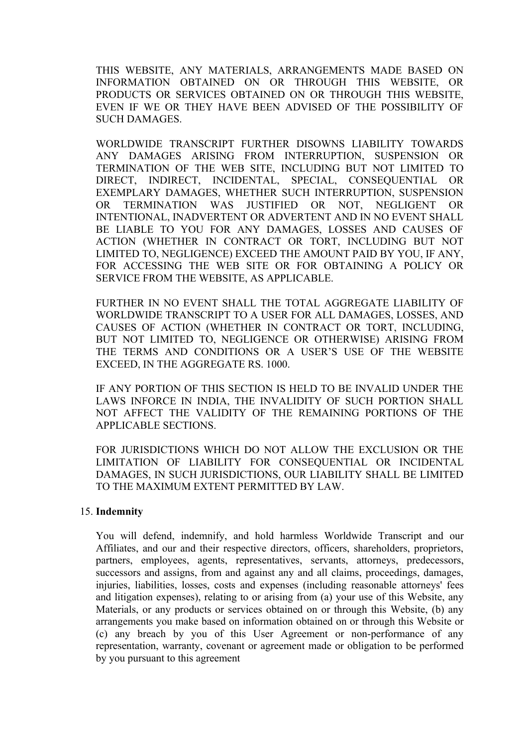THIS WEBSITE, ANY MATERIALS, ARRANGEMENTS MADE BASED ON INFORMATION OBTAINED ON OR THROUGH THIS WEBSITE, OR PRODUCTS OR SERVICES OBTAINED ON OR THROUGH THIS WEBSITE, EVEN IF WE OR THEY HAVE BEEN ADVISED OF THE POSSIBILITY OF SUCH DAMAGES.

WORLDWIDE TRANSCRIPT FURTHER DISOWNS LIABILITY TOWARDS ANY DAMAGES ARISING FROM INTERRUPTION, SUSPENSION OR TERMINATION OF THE WEB SITE, INCLUDING BUT NOT LIMITED TO DIRECT, INDIRECT, INCIDENTAL, SPECIAL, CONSEQUENTIAL OR EXEMPLARY DAMAGES, WHETHER SUCH INTERRUPTION, SUSPENSION OR TERMINATION WAS JUSTIFIED OR NOT, NEGLIGENT OR INTENTIONAL, INADVERTENT OR ADVERTENT AND IN NO EVENT SHALL BE LIABLE TO YOU FOR ANY DAMAGES, LOSSES AND CAUSES OF ACTION (WHETHER IN CONTRACT OR TORT, INCLUDING BUT NOT LIMITED TO, NEGLIGENCE) EXCEED THE AMOUNT PAID BY YOU, IF ANY, FOR ACCESSING THE WEB SITE OR FOR OBTAINING A POLICY OR SERVICE FROM THE WEBSITE, AS APPLICABLE.

FURTHER IN NO EVENT SHALL THE TOTAL AGGREGATE LIABILITY OF WORLDWIDE TRANSCRIPT TO A USER FOR ALL DAMAGES, LOSSES, AND CAUSES OF ACTION (WHETHER IN CONTRACT OR TORT, INCLUDING, BUT NOT LIMITED TO, NEGLIGENCE OR OTHERWISE) ARISING FROM THE TERMS AND CONDITIONS OR A USER'S USE OF THE WEBSITE EXCEED, IN THE AGGREGATE RS. 1000.

IF ANY PORTION OF THIS SECTION IS HELD TO BE INVALID UNDER THE LAWS INFORCE IN INDIA, THE INVALIDITY OF SUCH PORTION SHALL NOT AFFECT THE VALIDITY OF THE REMAINING PORTIONS OF THE APPLICABLE SECTIONS.

FOR JURISDICTIONS WHICH DO NOT ALLOW THE EXCLUSION OR THE LIMITATION OF LIABILITY FOR CONSEQUENTIAL OR INCIDENTAL DAMAGES, IN SUCH JURISDICTIONS, OUR LIABILITY SHALL BE LIMITED TO THE MAXIMUM EXTENT PERMITTED BY LAW.

### 15. **Indemnity**

You will defend, indemnify, and hold harmless Worldwide Transcript and our Affiliates, and our and their respective directors, officers, shareholders, proprietors, partners, employees, agents, representatives, servants, attorneys, predecessors, successors and assigns, from and against any and all claims, proceedings, damages, injuries, liabilities, losses, costs and expenses (including reasonable attorneys' fees and litigation expenses), relating to or arising from (a) your use of this Website, any Materials, or any products or services obtained on or through this Website, (b) any arrangements you make based on information obtained on or through this Website or (c) any breach by you of this User Agreement or non-performance of any representation, warranty, covenant or agreement made or obligation to be performed by you pursuant to this agreement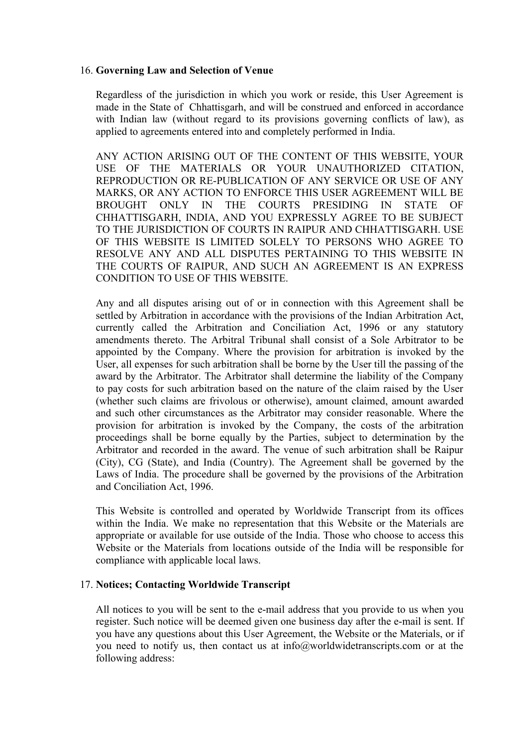#### 16. **Governing Law and Selection of Venue**

Regardless of the jurisdiction in which you work or reside, this User Agreement is made in the State of Chhattisgarh, and will be construed and enforced in accordance with Indian law (without regard to its provisions governing conflicts of law), as applied to agreements entered into and completely performed in India.

ANY ACTION ARISING OUT OF THE CONTENT OF THIS WEBSITE, YOUR USE OF THE MATERIALS OR YOUR UNAUTHORIZED CITATION, REPRODUCTION OR RE-PUBLICATION OF ANY SERVICE OR USE OF ANY MARKS, OR ANY ACTION TO ENFORCE THIS USER AGREEMENT WILL BE BROUGHT ONLY IN THE COURTS PRESIDING IN STATE OF CHHATTISGARH, INDIA, AND YOU EXPRESSLY AGREE TO BE SUBJECT TO THE JURISDICTION OF COURTS IN RAIPUR AND CHHATTISGARH. USE OF THIS WEBSITE IS LIMITED SOLELY TO PERSONS WHO AGREE TO RESOLVE ANY AND ALL DISPUTES PERTAINING TO THIS WEBSITE IN THE COURTS OF RAIPUR, AND SUCH AN AGREEMENT IS AN EXPRESS CONDITION TO USE OF THIS WEBSITE.

Any and all disputes arising out of or in connection with this Agreement shall be settled by Arbitration in accordance with the provisions of the Indian Arbitration Act, currently called the Arbitration and Conciliation Act, 1996 or any statutory amendments thereto. The Arbitral Tribunal shall consist of a Sole Arbitrator to be appointed by the Company. Where the provision for arbitration is invoked by the User, all expenses for such arbitration shall be borne by the User till the passing of the award by the Arbitrator. The Arbitrator shall determine the liability of the Company to pay costs for such arbitration based on the nature of the claim raised by the User (whether such claims are frivolous or otherwise), amount claimed, amount awarded and such other circumstances as the Arbitrator may consider reasonable. Where the provision for arbitration is invoked by the Company, the costs of the arbitration proceedings shall be borne equally by the Parties, subject to determination by the Arbitrator and recorded in the award. The venue of such arbitration shall be Raipur (City), CG (State), and India (Country). The Agreement shall be governed by the Laws of India. The procedure shall be governed by the provisions of the Arbitration and Conciliation Act, 1996.

This Website is controlled and operated by Worldwide Transcript from its offices within the India. We make no representation that this Website or the Materials are appropriate or available for use outside of the India. Those who choose to access this Website or the Materials from locations outside of the India will be responsible for compliance with applicable local laws.

### 17. **Notices; Contacting Worldwide Transcript**

All notices to you will be sent to the e-mail address that you provide to us when you register. Such notice will be deemed given one business day after the e-mail is sent. If you have any questions about this User Agreement, the Website or the Materials, or if you need to notify us, then contact us at info@worldwidetranscripts.com or at the following address: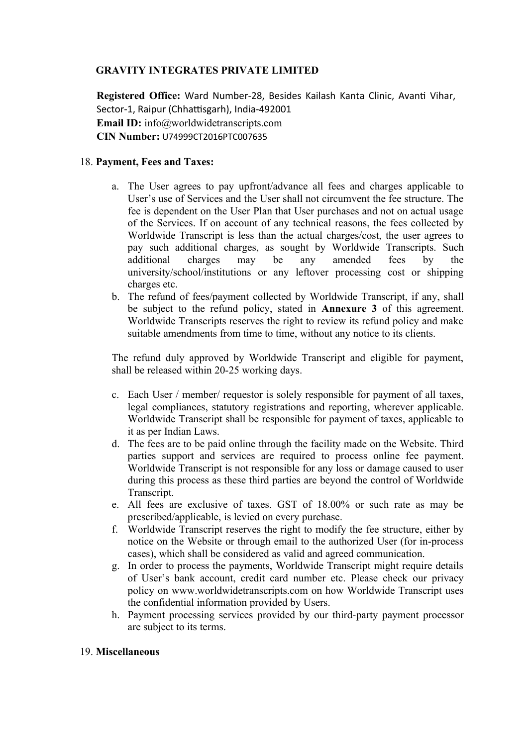# **GRAVITY INTEGRATES PRIVATE LIMITED**

**Registered Office:** Ward Number-28, Besides Kailash Kanta Clinic, Avanti Vihar, Sector-1, Raipur (Chhattisgarh), India-492001 **Email ID:** info@worldwidetranscripts.com **CIN Number:** U74999CT2016PTC007635

# 18. **Payment, Fees and Taxes:**

- a. The User agrees to pay upfront/advance all fees and charges applicable to User's use of Services and the User shall not circumvent the fee structure. The fee is dependent on the User Plan that User purchases and not on actual usage of the Services. If on account of any technical reasons, the fees collected by Worldwide Transcript is less than the actual charges/cost, the user agrees to pay such additional charges, as sought by Worldwide Transcripts. Such additional charges may be any amended fees by the university/school/institutions or any leftover processing cost or shipping charges etc.
- b. The refund of fees/payment collected by Worldwide Transcript, if any, shall be subject to the refund policy, stated in **Annexure 3** of this agreement. Worldwide Transcripts reserves the right to review its refund policy and make suitable amendments from time to time, without any notice to its clients.

The refund duly approved by Worldwide Transcript and eligible for payment, shall be released within 20-25 working days.

- c. Each User / member/ requestor is solely responsible for payment of all taxes, legal compliances, statutory registrations and reporting, wherever applicable. Worldwide Transcript shall be responsible for payment of taxes, applicable to it as per Indian Laws.
- d. The fees are to be paid online through the facility made on the Website. Third parties support and services are required to process online fee payment. Worldwide Transcript is not responsible for any loss or damage caused to user during this process as these third parties are beyond the control of Worldwide Transcript.
- e. All fees are exclusive of taxes. GST of 18.00% or such rate as may be prescribed/applicable, is levied on every purchase.
- f. Worldwide Transcript reserves the right to modify the fee structure, either by notice on the Website or through email to the authorized User (for in-process cases), which shall be considered as valid and agreed communication.
- g. In order to process the payments, Worldwide Transcript might require details of User's bank account, credit card number etc. Please check our privacy policy on www.worldwidetranscripts.com on how Worldwide Transcript uses the confidential information provided by Users.
- h. Payment processing services provided by our third-party payment processor are subject to its terms.

### 19. **Miscellaneous**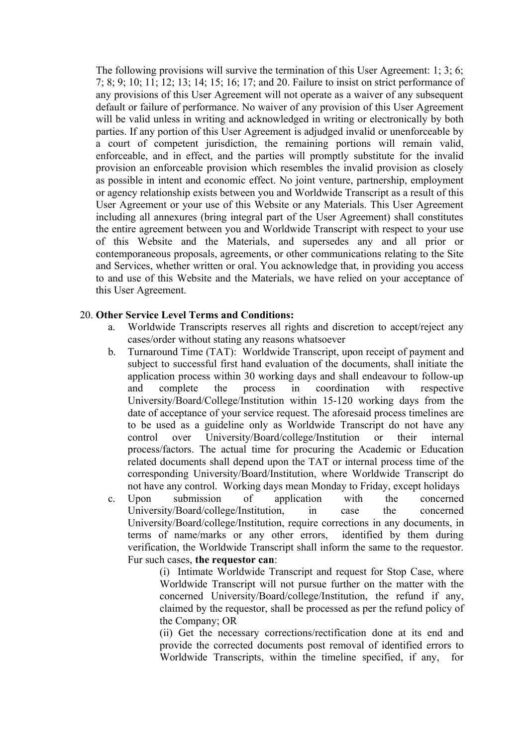The following provisions will survive the termination of this User Agreement: 1; 3; 6; 7; 8; 9; 10; 11; 12; 13; 14; 15; 16; 17; and 20. Failure to insist on strict performance of any provisions of this User Agreement will not operate as a waiver of any subsequent default or failure of performance. No waiver of any provision of this User Agreement will be valid unless in writing and acknowledged in writing or electronically by both parties. If any portion of this User Agreement is adjudged invalid or unenforceable by a court of competent jurisdiction, the remaining portions will remain valid, enforceable, and in effect, and the parties will promptly substitute for the invalid provision an enforceable provision which resembles the invalid provision as closely as possible in intent and economic effect. No joint venture, partnership, employment or agency relationship exists between you and Worldwide Transcript as a result of this User Agreement or your use of this Website or any Materials. This User Agreement including all annexures (bring integral part of the User Agreement) shall constitutes the entire agreement between you and Worldwide Transcript with respect to your use of this Website and the Materials, and supersedes any and all prior or contemporaneous proposals, agreements, or other communications relating to the Site and Services, whether written or oral. You acknowledge that, in providing you access to and use of this Website and the Materials, we have relied on your acceptance of this User Agreement.

### 20. **Other Service Level Terms and Conditions:**

- a. Worldwide Transcripts reserves all rights and discretion to accept/reject any cases/order without stating any reasons whatsoever
- b. Turnaround Time (TAT):Worldwide Transcript, upon receipt of payment and subject to successful first hand evaluation of the documents, shall initiate the application process within 30 working days and shall endeavour to follow-up and complete the process in coordination with respective University/Board/College/Institution within 15-120 working days from the date of acceptance of your service request. The aforesaid process timelines are to be used as a guideline only as Worldwide Transcript do not have any control over University/Board/college/Institution or their internal process/factors. The actual time for procuring the Academic or Education related documents shall depend upon the TAT or internal process time of the corresponding University/Board/Institution, where Worldwide Transcript do not have any control. Working days mean Monday to Friday, except holidays
- c. Upon submission of application with the concerned University/Board/college/Institution, in case the concerned University/Board/college/Institution, require corrections in any documents, in terms of name/marks or any other errors, identified by them during verification, the Worldwide Transcript shall inform the same to the requestor. Fur such cases, **the requestor can**:

(i) Intimate Worldwide Transcript and request for Stop Case, where Worldwide Transcript will not pursue further on the matter with the concerned University/Board/college/Institution, the refund if any, claimed by the requestor, shall be processed as per the refund policy of the Company; OR

(ii) Get the necessary corrections/rectification done at its end and provide the corrected documents post removal of identified errors to Worldwide Transcripts, within the timeline specified, if any, for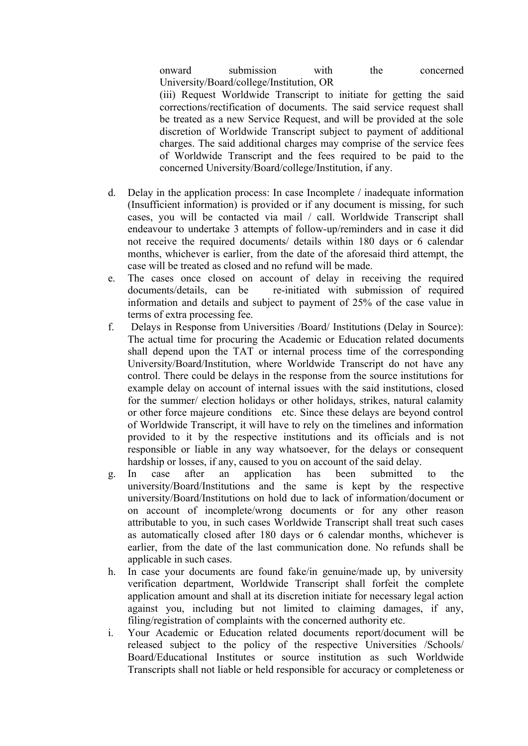onward submission with the concerned University/Board/college/Institution, OR

(iii) Request Worldwide Transcript to initiate for getting the said corrections/rectification of documents. The said service request shall be treated as a new Service Request, and will be provided at the sole discretion of Worldwide Transcript subject to payment of additional charges. The said additional charges may comprise of the service fees of Worldwide Transcript and the fees required to be paid to the concerned University/Board/college/Institution, if any.

- d. Delay in the application process: In case Incomplete / inadequate information (Insufficient information) is provided or if any document is missing, for such cases, you will be contacted via mail / call. Worldwide Transcript shall endeavour to undertake 3 attempts of follow-up/reminders and in case it did not receive the required documents/ details within 180 days or 6 calendar months, whichever is earlier, from the date of the aforesaid third attempt, the case will be treated as closed and no refund will be made.
- e. The cases once closed on account of delay in receiving the required documents/details, can be re-initiated with submission of required information and details and subject to payment of 25% of the case value in terms of extra processing fee.
- f. Delays in Response from Universities /Board/ Institutions (Delay in Source): The actual time for procuring the Academic or Education related documents shall depend upon the TAT or internal process time of the corresponding University/Board/Institution, where Worldwide Transcript do not have any control. There could be delays in the response from the source institutions for example delay on account of internal issues with the said institutions, closed for the summer/ election holidays or other holidays, strikes, natural calamity or other force majeure conditions etc. Since these delays are beyond control of Worldwide Transcript, it will have to rely on the timelines and information provided to it by the respective institutions and its officials and is not responsible or liable in any way whatsoever, for the delays or consequent hardship or losses, if any, caused to you on account of the said delay.
- g. In case after an application has been submitted to the university/Board/Institutions and the same is kept by the respective university/Board/Institutions on hold due to lack of information/document or on account of incomplete/wrong documents or for any other reason attributable to you, in such cases Worldwide Transcript shall treat such cases as automatically closed after 180 days or 6 calendar months, whichever is earlier, from the date of the last communication done. No refunds shall be applicable in such cases.
- h. In case your documents are found fake/in genuine/made up, by university verification department, Worldwide Transcript shall forfeit the complete application amount and shall at its discretion initiate for necessary legal action against you, including but not limited to claiming damages, if any, filing/registration of complaints with the concerned authority etc.
- i. Your Academic or Education related documents report/document will be released subject to the policy of the respective Universities /Schools/ Board/Educational Institutes or source institution as such Worldwide Transcripts shall not liable or held responsible for accuracy or completeness or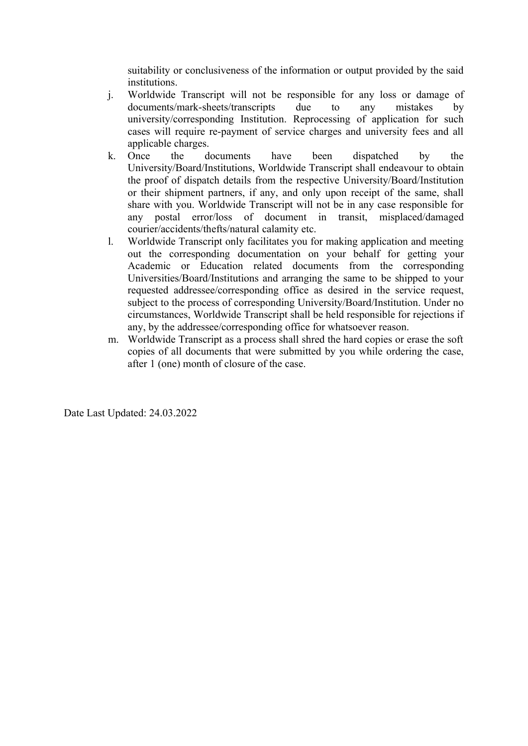suitability or conclusiveness of the information or output provided by the said institutions.

- j. Worldwide Transcript will not be responsible for any loss or damage of documents/mark-sheets/transcripts due to any mistakes by university/corresponding Institution. Reprocessing of application for such cases will require re-payment of service charges and university fees and all applicable charges.
- k. Once the documents have been dispatched by the University/Board/Institutions, Worldwide Transcript shall endeavour to obtain the proof of dispatch details from the respective University/Board/Institution or their shipment partners, if any, and only upon receipt of the same, shall share with you. Worldwide Transcript will not be in any case responsible for any postal error/loss of document in transit, misplaced/damaged courier/accidents/thefts/natural calamity etc.
- l. Worldwide Transcript only facilitates you for making application and meeting out the corresponding documentation on your behalf for getting your Academic or Education related documents from the corresponding Universities/Board/Institutions and arranging the same to be shipped to your requested addressee/corresponding office as desired in the service request, subject to the process of corresponding University/Board/Institution. Under no circumstances, Worldwide Transcript shall be held responsible for rejections if any, by the addressee/corresponding office for whatsoever reason.
- m. Worldwide Transcript as a process shall shred the hard copies or erase the soft copies of all documents that were submitted by you while ordering the case, after 1 (one) month of closure of the case.

Date Last Updated: 24.03.2022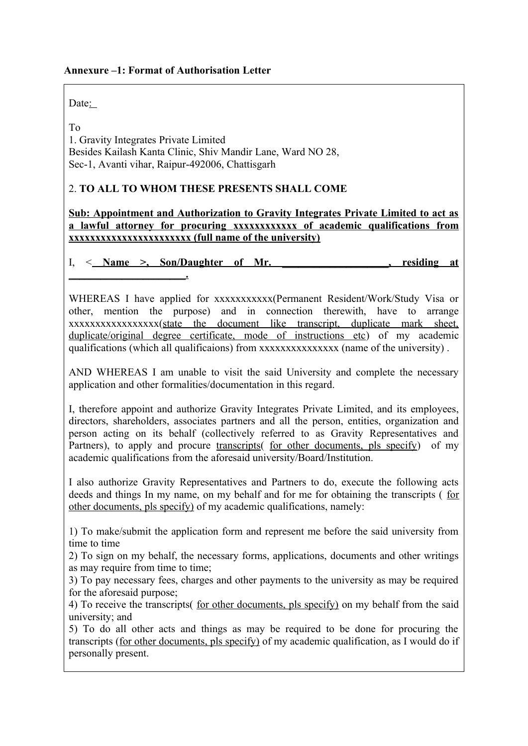# **Annexure –1: Format of Authorisation Letter**

Date:

**\_\_\_\_\_\_\_\_\_\_\_\_\_\_\_\_\_\_\_\_\_\_.**

To

1. Gravity Integrates Private Limited Besides Kailash Kanta Clinic, Shiv Mandir Lane, Ward NO 28, Sec-1, Avanti vihar, Raipur-492006, Chattisgarh

# 2. **TO ALL TO WHOM THESE PRESENTS SHALL COME**

**Sub: Appointment and Authorization to Gravity Integrates Private Limited to act as a lawful attorney for procuring xxxxxxxxxxxx of academic qualifications from xxxxxxxxxxxxxxxxxxxxxxx (full name of the university)**

I, < **Name >, Son/Daughter of Mr. \_\_\_\_\_\_\_\_\_\_\_\_\_\_\_\_\_\_\_\_, residing at**

WHEREAS I have applied for xxxxxxxxxxx(Permanent Resident/Work/Study Visa or other, mention the purpose) and in connection therewith, have to arrange xxxxxxxxxxxxxxxxx(state the document like transcript, duplicate mark sheet, duplicate/original degree certificate, mode of instructions etc) of my academic qualifications (which all qualificaions) from xxxxxxxxxxxxxxxxx (name of the university).

AND WHEREAS I am unable to visit the said University and complete the necessary application and other formalities/documentation in this regard.

I, therefore appoint and authorize Gravity Integrates Private Limited, and its employees, directors, shareholders, associates partners and all the person, entities, organization and person acting on its behalf (collectively referred to as Gravity Representatives and Partners), to apply and procure transcripts for other documents, pls specify of my academic qualifications from the aforesaid university/Board/Institution.

I also authorize Gravity Representatives and Partners to do, execute the following acts deeds and things In my name, on my behalf and for me for obtaining the transcripts ( for other documents, pls specify) of my academic qualifications, namely:

1) To make/submit the application form and represent me before the said university from time to time

2) To sign on my behalf, the necessary forms, applications, documents and other writings as may require from time to time;

3) To pay necessary fees, charges and other payments to the university as may be required for the aforesaid purpose;

4) To receive the transcripts( for other documents, pls specify) on my behalf from the said university; and

5) To do all other acts and things as may be required to be done for procuring the transcripts (for other documents, pls specify) of my academic qualification, as I would do if personally present.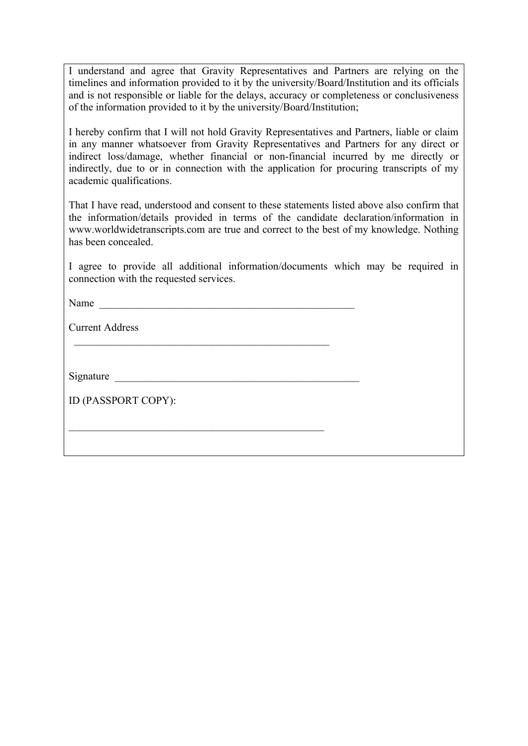I understand and agree that Gravity Representatives and Partners are relying on the timelines and information provided to it by the university/Board/Institution and its officials and is not responsible or liable for the delays, accuracy or completeness or conclusiveness of the information provided to it by the university/Board/Institution;

I hereby confirm that I will not hold Gravity Representatives and Partners, liable or claim in any manner whatsoever from Gravity Representatives and Partners for any direct or indirect loss/damage, whether financial or non-financial incurred by me directly or indirectly, due to or in connection with the application for procuring transcripts of my academic qualifications.

That I have read, understood and consent to these statements listed above also confirm that the information/details provided in terms of the candidate declaration/information in www.worldwidetranscripts.com are true and correct to the best of my knowledge. Nothing has been concealed.

I agree to provide all additional information/documents which may be required in connection with the requested services.

Name

Current Address

Signature  $\Box$ 

ID (PASSPORT COPY):

 $\mathcal{L}_\text{max}$  and  $\mathcal{L}_\text{max}$  and  $\mathcal{L}_\text{max}$  and  $\mathcal{L}_\text{max}$  and  $\mathcal{L}_\text{max}$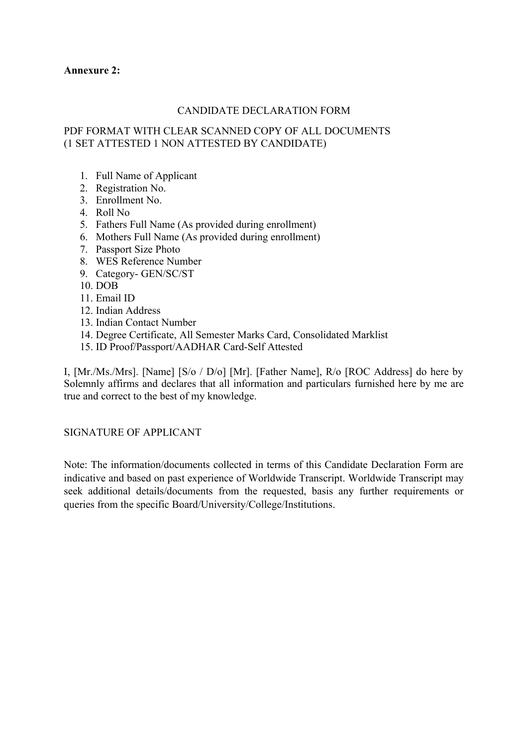### **Annexure 2:**

# CANDIDATE DECLARATION FORM

# PDF FORMAT WITH CLEAR SCANNED COPY OF ALL DOCUMENTS (1 SET ATTESTED 1 NON ATTESTED BY CANDIDATE)

- 1. Full Name of Applicant
- 2. Registration No.
- 3. Enrollment No.
- 4. Roll No
- 5. Fathers Full Name (As provided during enrollment)
- 6. Mothers Full Name (As provided during enrollment)
- 7. Passport Size Photo
- 8. WES Reference Number
- 9. Category- GEN/SC/ST
- 10. DOB
- 11. Email ID
- 12. Indian Address
- 13. Indian Contact Number
- 14. Degree Certificate, All Semester Marks Card, Consolidated Marklist
- 15. ID Proof/Passport/AADHAR Card-Self Attested

I, [Mr./Ms./Mrs]. [Name] [S/o / D/o] [Mr]. [Father Name], R/o [ROC Address] do here by Solemnly affirms and declares that all information and particulars furnished here by me are true and correct to the best of my knowledge.

### SIGNATURE OF APPLICANT

Note: The information/documents collected in terms of this Candidate Declaration Form are indicative and based on past experience of Worldwide Transcript. Worldwide Transcript may seek additional details/documents from the requested, basis any further requirements or queries from the specific Board/University/College/Institutions.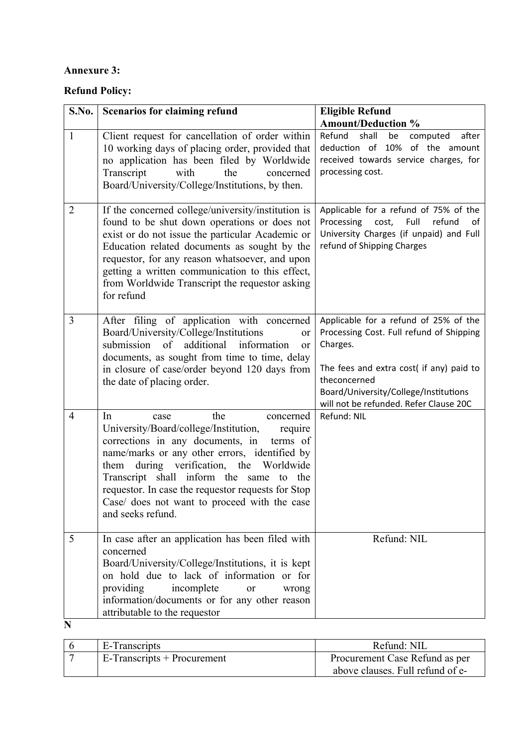# **Annexure 3:**

# **Refund Policy:**

| S.No.          | <b>Scenarios for claiming refund</b>                                                                                                                                                                                                                                                                                                                                                                    | <b>Eligible Refund</b>                                                                                                                                                                                                                       |
|----------------|---------------------------------------------------------------------------------------------------------------------------------------------------------------------------------------------------------------------------------------------------------------------------------------------------------------------------------------------------------------------------------------------------------|----------------------------------------------------------------------------------------------------------------------------------------------------------------------------------------------------------------------------------------------|
|                |                                                                                                                                                                                                                                                                                                                                                                                                         | <b>Amount/Deduction %</b>                                                                                                                                                                                                                    |
| $\mathbf{1}$   | Client request for cancellation of order within<br>10 working days of placing order, provided that<br>no application has been filed by Worldwide<br>the<br>Transcript<br>with<br>concerned<br>Board/University/College/Institutions, by then.                                                                                                                                                           | Refund<br>shall<br>be<br>computed<br>after<br>deduction of 10% of the amount<br>received towards service charges, for<br>processing cost.                                                                                                    |
| $\overline{2}$ | If the concerned college/university/institution is<br>found to be shut down operations or does not<br>exist or do not issue the particular Academic or<br>Education related documents as sought by the<br>requestor, for any reason whatsoever, and upon<br>getting a written communication to this effect,<br>from Worldwide Transcript the requestor asking<br>for refund                             | Applicable for a refund of 75% of the<br>Processing<br>Full<br>refund<br>cost,<br>οf<br>University Charges (if unpaid) and Full<br>refund of Shipping Charges                                                                                |
| $\overline{3}$ | After filing of application with concerned<br>Board/University/College/Institutions<br><b>or</b><br>$\circ$ f<br>additional<br>information<br>submission<br><sub>or</sub><br>documents, as sought from time to time, delay<br>in closure of case/order beyond 120 days from<br>the date of placing order.                                                                                               | Applicable for a refund of 25% of the<br>Processing Cost. Full refund of Shipping<br>Charges.<br>The fees and extra cost( if any) paid to<br>theconcerned<br>Board/University/College/Institutions<br>will not be refunded. Refer Clause 20C |
| 4              | In<br>the<br>concerned<br>case<br>University/Board/college/Institution,<br>require<br>corrections in any documents, in<br>terms of<br>name/marks or any other errors, identified by<br>during verification, the Worldwide<br>them<br>Transcript shall inform the same to the<br>requestor. In case the requestor requests for Stop<br>Case/ does not want to proceed with the case<br>and seeks refund. | Refund: NIL                                                                                                                                                                                                                                  |
| 5              | In case after an application has been filed with<br>concerned<br>Board/University/College/Institutions, it is kept<br>on hold due to lack of information or for<br>incomplete<br>providing<br><b>or</b><br>wrong<br>information/documents or for any other reason<br>attributable to the requestor                                                                                                      | Refund: NIL                                                                                                                                                                                                                                  |
| N              |                                                                                                                                                                                                                                                                                                                                                                                                         |                                                                                                                                                                                                                                              |

| E-Transcripts               | Refund: NIL                      |
|-----------------------------|----------------------------------|
| E-Transcripts + Procurement | Procurement Case Refund as per   |
|                             | above clauses. Full refund of e- |